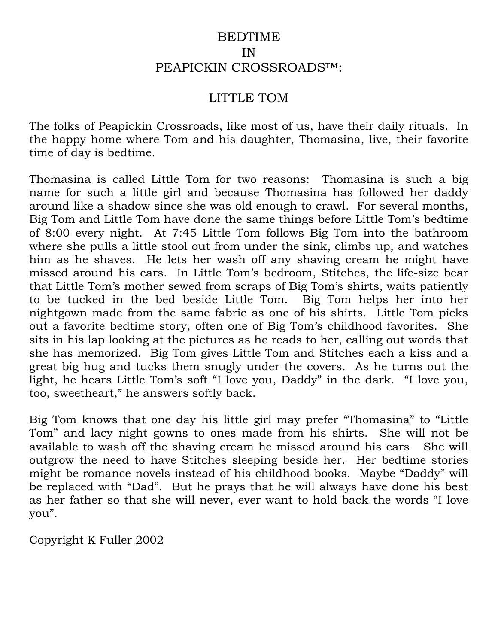## BEDTIME IN PEAPICKIN CROSSROADS™:

## LITTLE TOM

The folks of Peapickin Crossroads, like most of us, have their daily rituals. In the happy home where Tom and his daughter, Thomasina, live, their favorite time of day is bedtime.

Thomasina is called Little Tom for two reasons: Thomasina is such a big name for such a little girl and because Thomasina has followed her daddy around like a shadow since she was old enough to crawl. For several months, Big Tom and Little Tom have done the same things before Little Tom's bedtime of 8:00 every night. At 7:45 Little Tom follows Big Tom into the bathroom where she pulls a little stool out from under the sink, climbs up, and watches him as he shaves. He lets her wash off any shaving cream he might have missed around his ears. In Little Tom's bedroom, Stitches, the life-size bear that Little Tom's mother sewed from scraps of Big Tom's shirts, waits patiently to be tucked in the bed beside Little Tom. Big Tom helps her into her nightgown made from the same fabric as one of his shirts. Little Tom picks out a favorite bedtime story, often one of Big Tom's childhood favorites. She sits in his lap looking at the pictures as he reads to her, calling out words that she has memorized. Big Tom gives Little Tom and Stitches each a kiss and a great big hug and tucks them snugly under the covers. As he turns out the light, he hears Little Tom's soft "I love you, Daddy" in the dark. "I love you, too, sweetheart," he answers softly back.

Big Tom knows that one day his little girl may prefer "Thomasina" to "Little Tom" and lacy night gowns to ones made from his shirts. She will not be available to wash off the shaving cream he missed around his ears She will outgrow the need to have Stitches sleeping beside her. Her bedtime stories might be romance novels instead of his childhood books. Maybe "Daddy" will be replaced with "Dad". But he prays that he will always have done his best as her father so that she will never, ever want to hold back the words "I love you".

Copyright K Fuller 2002